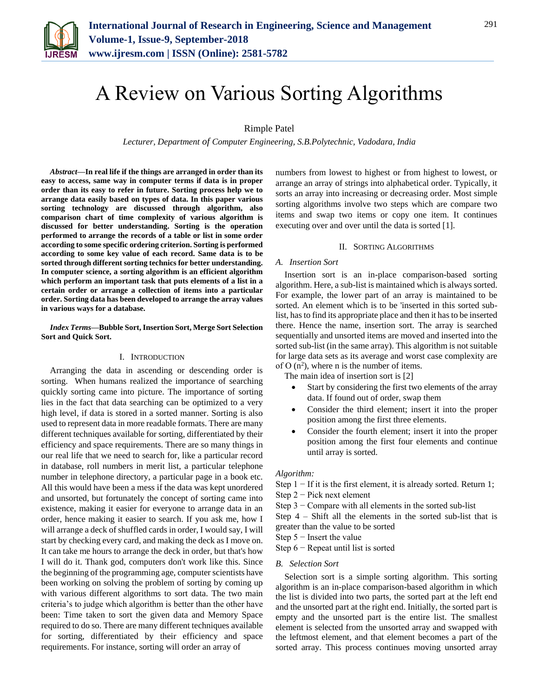

# A Review on Various Sorting Algorithms

# Rimple Patel

*Lecturer, Department of Computer Engineering, S.B.Polytechnic, Vadodara, India*

*Abstract***—In real life if the things are arranged in order than its easy to access, same way in computer terms if data is in proper order than its easy to refer in future. Sorting process help we to arrange data easily based on types of data. In this paper various sorting technology are discussed through algorithm, also comparison chart of time complexity of various algorithm is discussed for better understanding. Sorting is the operation performed to arrange the records of a table or list in some order according to some specific ordering criterion. Sorting is performed according to some key value of each record. Same data is to be sorted through different sorting technics for better understanding. In computer science, a sorting algorithm is an efficient algorithm which perform an important task that puts elements of a list in a certain order or arrange a collection of items into a particular order. Sorting data has been developed to arrange the array values in various ways for a database.** 

*Index Terms***—Bubble Sort, Insertion Sort, Merge Sort Selection Sort and Quick Sort.**

### I. INTRODUCTION

Arranging the data in ascending or descending order is sorting. When humans realized the importance of searching quickly sorting came into picture. The importance of sorting lies in the fact that data searching can be optimized to a very high level, if data is stored in a sorted manner. Sorting is also used to represent data in more readable formats. There are many different techniques available for sorting, differentiated by their efficiency and space requirements. There are so many things in our real life that we need to search for, like a particular record in database, roll numbers in merit list, a particular telephone number in telephone directory, a particular page in a book etc. All this would have been a mess if the data was kept unordered and unsorted, but fortunately the concept of sorting came into existence, making it easier for everyone to arrange data in an order, hence making it easier to search. If you ask me, how I will arrange a deck of shuffled cards in order, I would say, I will start by checking every card, and making the deck as I move on. It can take me hours to arrange the deck in order, but that's how I will do it. Thank god, computers don't work like this. Since the beginning of the programming age, computer scientists have been working on solving the problem of sorting by coming up with various different algorithms to sort data. The two main criteria's to judge which algorithm is better than the other have been: Time taken to sort the given data and Memory Space required to do so. There are many different techniques available for sorting, differentiated by their efficiency and space requirements. For instance, sorting will order an array of

numbers from lowest to highest or from highest to lowest, or arrange an array of strings into alphabetical order. Typically, it sorts an array into increasing or decreasing order. Most simple sorting algorithms involve two steps which are compare two items and swap two items or copy one item. It continues executing over and over until the data is sorted [1].

### II. SORTING ALGORITHMS

#### *A. Insertion Sort*

Insertion sort is an in-place comparison-based sorting algorithm. Here, a sub-list is maintained which is always sorted. For example, the lower part of an array is maintained to be sorted. An element which is to be 'inserted in this sorted sublist, has to find its appropriate place and then it has to be inserted there. Hence the name, insertion sort. The array is searched sequentially and unsorted items are moved and inserted into the sorted sub-list (in the same array). This algorithm is not suitable for large data sets as its average and worst case complexity are of O  $(n^2)$ , where n is the number of items.

The main idea of insertion sort is [2]

- Start by considering the first two elements of the array data. If found out of order, swap them
- Consider the third element; insert it into the proper position among the first three elements.
- Consider the fourth element; insert it into the proper position among the first four elements and continue until array is sorted.

#### *Algorithm:*

Step  $1 - If$  it is the first element, it is already sorted. Return 1;

- Step 2 − Pick next element
- Step  $3 -$  Compare with all elements in the sorted sub-list

Step 4 – Shift all the elements in the sorted sub-list that is greater than the value to be sorted

- Step 5 − Insert the value
- Step  $6$  Repeat until list is sorted

#### *B. Selection Sort*

Selection sort is a simple sorting algorithm. This sorting algorithm is an in-place comparison-based algorithm in which the list is divided into two parts, the sorted part at the left end and the unsorted part at the right end. Initially, the sorted part is empty and the unsorted part is the entire list. The smallest element is selected from the unsorted array and swapped with the leftmost element, and that element becomes a part of the sorted array. This process continues moving unsorted array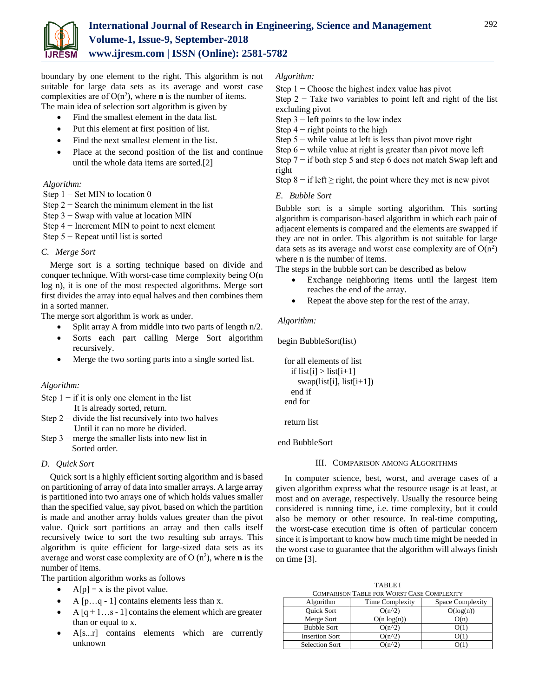

boundary by one element to the right. This algorithm is not suitable for large data sets as its average and worst case complexities are of  $O(n^2)$ , where **n** is the number of items.

The main idea of selection sort algorithm is given by

- Find the smallest element in the data list.
- Put this element at first position of list.
- Find the next smallest element in the list.
- Place at the second position of the list and continue until the whole data items are sorted.[2]

# *Algorithm:*

Step  $1 -$  Set MIN to location 0

- Step  $2 -$  Search the minimum element in the list
- Step 3 − Swap with value at location MIN
- Step 4 − Increment MIN to point to next element

Step 5 − Repeat until list is sorted

# *C. Merge Sort*

Merge sort is a sorting technique based on divide and conquer technique. With worst-case time complexity being Ο(n log n), it is one of the most respected algorithms. Merge sort first divides the array into equal halves and then combines them in a sorted manner.

The merge sort algorithm is work as under.

- Split array A from middle into two parts of length n/2.
- Sorts each part calling Merge Sort algorithm recursively.
- Merge the two sorting parts into a single sorted list.

# *Algorithm:*

- Step  $1 if$  it is only one element in the list It is already sorted, return.
- Step  $2 -$  divide the list recursively into two halves Until it can no more be divided.
- Step  $3$  merge the smaller lists into new list in Sorted order.

# *D. Quick Sort*

Quick sort is a highly efficient sorting algorithm and is based on partitioning of array of data into smaller arrays. A large array is partitioned into two arrays one of which holds values smaller than the specified value, say pivot, based on which the partition is made and another array holds values greater than the pivot value. Quick sort partitions an array and then calls itself recursively twice to sort the two resulting sub arrays. This algorithm is quite efficient for large-sized data sets as its average and worst case complexity are of O (n<sup>2</sup>), where **n** is the number of items.

The partition algorithm works as follows

- $A[p] = x$  is the pivot value.
- A  $[p...q-1]$  contains elements less than x.
- A  $[q + 1...s 1]$  contains the element which are greater than or equal to x.
- A[s...r] contains elements which are currently unknown

## *Algorithm:*

Step  $1 -$ Choose the highest index value has pivot

Step  $2 -$  Take two variables to point left and right of the list excluding pivot

- Step  $3$  left points to the low index
- Step  $4$  right points to the high
- Step 5 − while value at left is less than pivot move right
- Step  $6$  while value at right is greater than pivot move left
- Step 7 − if both step 5 and step 6 does not match Swap left and right

Step 8 – if left  $\geq$  right, the point where they met is new pivot

# *E. Bubble Sort*

Bubble sort is a simple sorting algorithm. This sorting algorithm is comparison-based algorithm in which each pair of adjacent elements is compared and the elements are swapped if they are not in order. This algorithm is not suitable for large data sets as its average and worst case complexity are of  $O(n^2)$ where n is the number of items.

The steps in the bubble sort can be described as below

- Exchange neighboring items until the largest item reaches the end of the array.
- Repeat the above step for the rest of the array.

## *Algorithm:*

begin BubbleSort(list)

```
 for all elements of list
 if list[i] > list[i+1]swap(list[i], list[i+1]) end if
end for
```
return list

end BubbleSort

## III. COMPARISON AMONG ALGORITHMS

In [computer science,](https://en.wikipedia.org/wiki/Computer_science) best, worst, and average cases of a given [algorithm](https://en.wikipedia.org/wiki/Algorithm) express what the [resource](https://en.wikipedia.org/wiki/Resource_(computer_science)) usage is at least, at most and on average, respectively. Usually the resource being considered is running time, i.e. [time complexity,](https://en.wikipedia.org/wiki/Time_complexity) but it could also be memory or other resource. In [real-time computing,](https://en.wikipedia.org/wiki/Real-time_computing) the [worst-case execution time](https://en.wikipedia.org/wiki/Worst-case_execution_time) is often of particular concern since it is important to know how much time might be needed in the worst case to guarantee that the algorithm will always finish on time [3].

TABLE I

| <b>COMPARISON TABLE FOR WORST CASE COMPLEXITY</b> |                 |                  |
|---------------------------------------------------|-----------------|------------------|
| Algorithm                                         | Time Complexity | Space Complexity |
| <b>Ouick Sort</b>                                 | $O(n^2)$        | O(log(n))        |
| Merge Sort                                        | $O(n \log(n))$  | O(n)             |
| <b>Bubble Sort</b>                                | $O(n^2)$        |                  |
| <b>Insertion Sort</b>                             | $O(n^2)$        |                  |
| <b>Selection Sort</b>                             | $O(n^2)$        |                  |